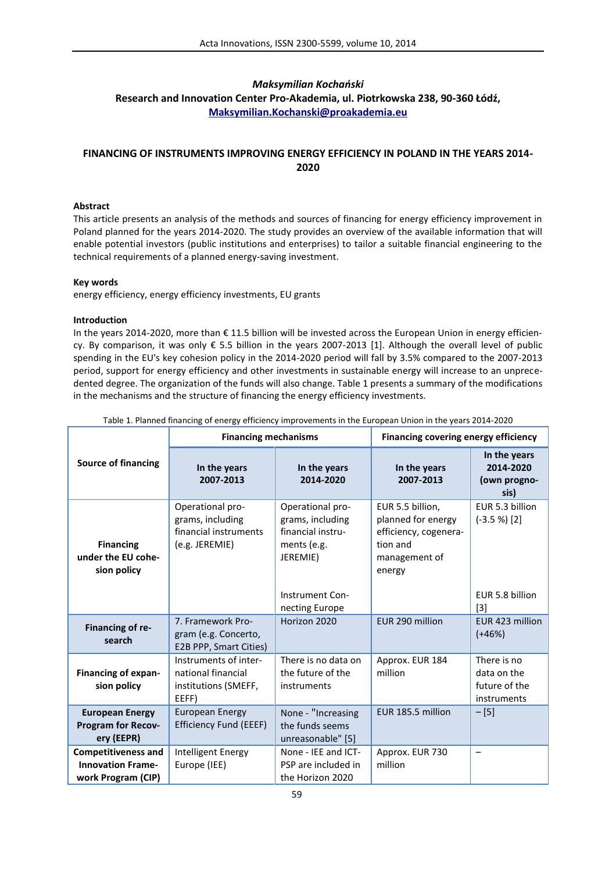# *Maksymilian Kochański* **Research and Innovation Center Pro-Akademia, ul. Piotrkowska 238, 90-360 Łódź, Maksymilian.Kochanski@proakademia.eu**

# **FINANCING OF INSTRUMENTS IMPROVING ENERGY EFFICIENCY IN POLAND IN THE YEARS 2014- 2020**

# **Abstract**

This article presents an analysis of the methods and sources of financing for energy efficiency improvement in Poland planned for the years 2014-2020. The study provides an overview of the available information that will enable potential investors (public institutions and enterprises) to tailor a suitable financial engineering to the technical requirements of a planned energy-saving investment.

# **Key words**

energy efficiency, energy efficiency investments, EU grants

# **Introduction**

In the years 2014-2020, more than € 11.5 billion will be invested across the European Union in energy efficiency. By comparison, it was only € 5.5 billion in the years 2007-2013 [1]. Although the overall level of public spending in the EU's key cohesion policy in the 2014-2020 period will fall by 3.5% compared to the 2007-2013 period, support for energy efficiency and other investments in sustainable energy will increase to an unprecedented degree. The organization of the funds will also change. Table 1 presents a summary of the modifications in the mechanisms and the structure of financing the energy efficiency investments.

| Table 1. Flamica midneing or energy emelency improvements in the Ediopean Omon in the years 2014 2020 | <b>Financing mechanisms</b>                                                     |                                                                                                         | Financing covering energy efficiency                                                                   |                                                            |
|-------------------------------------------------------------------------------------------------------|---------------------------------------------------------------------------------|---------------------------------------------------------------------------------------------------------|--------------------------------------------------------------------------------------------------------|------------------------------------------------------------|
| <b>Source of financing</b>                                                                            | In the years<br>2007-2013                                                       | In the years<br>2014-2020                                                                               | In the years<br>2007-2013                                                                              | In the years<br>2014-2020<br>(own progno-<br>sis)          |
| <b>Financing</b><br>under the EU cohe-<br>sion policy                                                 | Operational pro-<br>grams, including<br>financial instruments<br>(e.g. JEREMIE) | Operational pro-<br>grams, including<br>financial instru-<br>ments (e.g.<br>JEREMIE)<br>Instrument Con- | EUR 5.5 billion,<br>planned for energy<br>efficiency, cogenera-<br>tion and<br>management of<br>energy | EUR 5.3 billion<br>$(-3.5 %)$ [2]<br>EUR 5.8 billion       |
| Financing of re-<br>search                                                                            | 7. Framework Pro-<br>gram (e.g. Concerto,<br>E2B PPP, Smart Cities)             | necting Europe<br>Horizon 2020                                                                          | EUR 290 million                                                                                        | $[3]$<br>EUR 423 million<br>$(+46%)$                       |
| <b>Financing of expan-</b><br>sion policy                                                             | Instruments of inter-<br>national financial<br>institutions (SMEFF,<br>EEFF)    | There is no data on<br>the future of the<br>instruments                                                 | Approx. EUR 184<br>million                                                                             | There is no<br>data on the<br>future of the<br>instruments |
| <b>European Energy</b><br><b>Program for Recov-</b><br>ery (EEPR)                                     | <b>European Energy</b><br><b>Efficiency Fund (EEEF)</b>                         | None - "Increasing<br>the funds seems<br>unreasonable" [5]                                              | EUR 185.5 million                                                                                      | $-[5]$                                                     |
| <b>Competitiveness and</b><br><b>Innovation Frame-</b><br>work Program (CIP)                          | Intelligent Energy<br>Europe (IEE)                                              | None - IEE and ICT-<br>PSP are included in<br>the Horizon 2020                                          | Approx. EUR 730<br>million                                                                             | $\overline{\phantom{0}}$                                   |

Table 1. Planned financing of energy efficiency improvements in the European Union in the years 2014-2020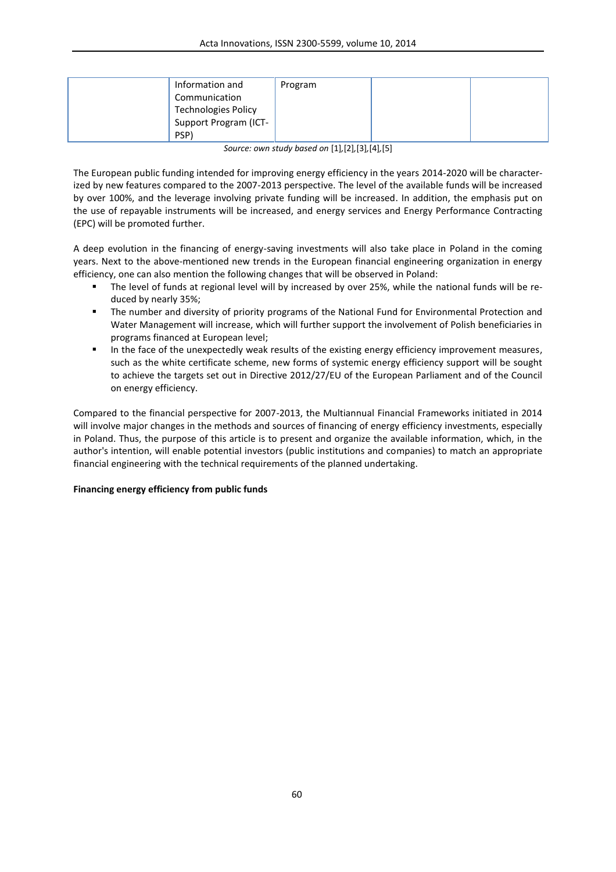| Information and            | Program |  |
|----------------------------|---------|--|
| Communication              |         |  |
| <b>Technologies Policy</b> |         |  |
| Support Program (ICT-      |         |  |
| PSP)                       |         |  |

*Source: own study based on* [1]*,*[2]*,*[3]*,*[4]*,*[5]

The European public funding intended for improving energy efficiency in the years 2014-2020 will be characterized by new features compared to the 2007-2013 perspective. The level of the available funds will be increased by over 100%, and the leverage involving private funding will be increased. In addition, the emphasis put on the use of repayable instruments will be increased, and energy services and Energy Performance Contracting (EPC) will be promoted further.

A deep evolution in the financing of energy-saving investments will also take place in Poland in the coming years. Next to the above-mentioned new trends in the European financial engineering organization in energy efficiency, one can also mention the following changes that will be observed in Poland:

- The level of funds at regional level will by increased by over 25%, while the national funds will be reduced by nearly 35%;
- The number and diversity of priority programs of the National Fund for Environmental Protection and Water Management will increase, which will further support the involvement of Polish beneficiaries in programs financed at European level;
- In the face of the unexpectedly weak results of the existing energy efficiency improvement measures, such as the white certificate scheme, new forms of systemic energy efficiency support will be sought to achieve the targets set out in Directive 2012/27/EU of the European Parliament and of the Council on energy efficiency.

Compared to the financial perspective for 2007-2013, the Multiannual Financial Frameworks initiated in 2014 will involve major changes in the methods and sources of financing of energy efficiency investments, especially in Poland. Thus, the purpose of this article is to present and organize the available information, which, in the author's intention, will enable potential investors (public institutions and companies) to match an appropriate financial engineering with the technical requirements of the planned undertaking.

## **Financing energy efficiency from public funds**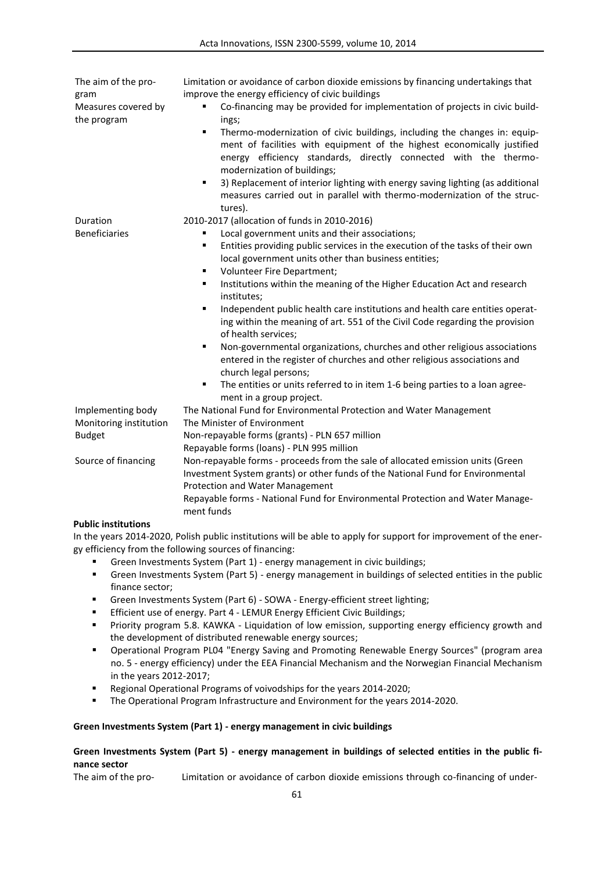| The aim of the pro-<br>gram<br>Measures covered by<br>the program | Limitation or avoidance of carbon dioxide emissions by financing undertakings that<br>improve the energy efficiency of civic buildings<br>Co-financing may be provided for implementation of projects in civic build-<br>ings;<br>Thermo-modernization of civic buildings, including the changes in: equip-<br>٠<br>ment of facilities with equipment of the highest economically justified<br>energy efficiency standards, directly connected with the thermo-<br>modernization of buildings;<br>3) Replacement of interior lighting with energy saving lighting (as additional<br>٠<br>measures carried out in parallel with thermo-modernization of the struc-<br>tures).                                                                                                                                                                                                        |  |  |
|-------------------------------------------------------------------|-------------------------------------------------------------------------------------------------------------------------------------------------------------------------------------------------------------------------------------------------------------------------------------------------------------------------------------------------------------------------------------------------------------------------------------------------------------------------------------------------------------------------------------------------------------------------------------------------------------------------------------------------------------------------------------------------------------------------------------------------------------------------------------------------------------------------------------------------------------------------------------|--|--|
| Duration<br><b>Beneficiaries</b>                                  | 2010-2017 (allocation of funds in 2010-2016)<br>Local government units and their associations;<br>Entities providing public services in the execution of the tasks of their own<br>٠<br>local government units other than business entities;<br>Volunteer Fire Department;<br>٠<br>Institutions within the meaning of the Higher Education Act and research<br>٠<br>institutes;<br>Independent public health care institutions and health care entities operat-<br>٠<br>ing within the meaning of art. 551 of the Civil Code regarding the provision<br>of health services;<br>Non-governmental organizations, churches and other religious associations<br>٠<br>entered in the register of churches and other religious associations and<br>church legal persons;<br>The entities or units referred to in item 1-6 being parties to a loan agree-<br>٠<br>ment in a group project. |  |  |
| Implementing body                                                 | The National Fund for Environmental Protection and Water Management                                                                                                                                                                                                                                                                                                                                                                                                                                                                                                                                                                                                                                                                                                                                                                                                                 |  |  |
| Monitoring institution                                            | The Minister of Environment                                                                                                                                                                                                                                                                                                                                                                                                                                                                                                                                                                                                                                                                                                                                                                                                                                                         |  |  |
| <b>Budget</b>                                                     | Non-repayable forms (grants) - PLN 657 million                                                                                                                                                                                                                                                                                                                                                                                                                                                                                                                                                                                                                                                                                                                                                                                                                                      |  |  |
|                                                                   | Repayable forms (Ioans) - PLN 995 million                                                                                                                                                                                                                                                                                                                                                                                                                                                                                                                                                                                                                                                                                                                                                                                                                                           |  |  |
| Source of financing                                               | Non-repayable forms - proceeds from the sale of allocated emission units (Green                                                                                                                                                                                                                                                                                                                                                                                                                                                                                                                                                                                                                                                                                                                                                                                                     |  |  |
|                                                                   | Investment System grants) or other funds of the National Fund for Environmental<br>Protection and Water Management                                                                                                                                                                                                                                                                                                                                                                                                                                                                                                                                                                                                                                                                                                                                                                  |  |  |
|                                                                   | Repayable forms - National Fund for Environmental Protection and Water Manage-                                                                                                                                                                                                                                                                                                                                                                                                                                                                                                                                                                                                                                                                                                                                                                                                      |  |  |
|                                                                   | ment funds                                                                                                                                                                                                                                                                                                                                                                                                                                                                                                                                                                                                                                                                                                                                                                                                                                                                          |  |  |

### **Public institutions**

In the years 2014-2020, Polish public institutions will be able to apply for support for improvement of the energy efficiency from the following sources of financing:

- Green Investments System (Part 1) energy management in civic buildings;
- Green Investments System (Part 5) energy management in buildings of selected entities in the public finance sector;
- Green Investments System (Part 6) SOWA Energy-efficient street lighting;
- **Efficient use of energy. Part 4 LEMUR Energy Efficient Civic Buildings;**
- Priority program 5.8. KAWKA Liquidation of low emission, supporting energy efficiency growth and the development of distributed renewable energy sources;
- Operational Program PL04 "Energy Saving and Promoting Renewable Energy Sources" (program area no. 5 - energy efficiency) under the EEA Financial Mechanism and the Norwegian Financial Mechanism in the years 2012-2017;
- Regional Operational Programs of voivodships for the years 2014-2020;
- The Operational Program Infrastructure and Environment for the years 2014-2020.

#### **Green Investments System (Part 1) - energy management in civic buildings**

## **Green Investments System (Part 5) - energy management in buildings of selected entities in the public finance sector**

The aim of the pro- Limitation or avoidance of carbon dioxide emissions through co-financing of under-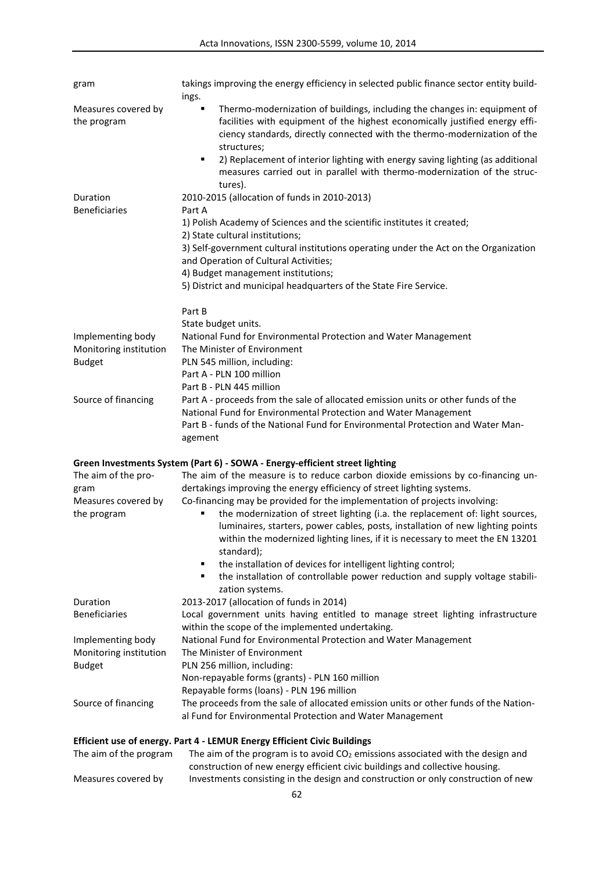| gram                                        | takings improving the energy efficiency in selected public finance sector entity build-<br>ings.                                                                                                                                                                                                                                                                                                                                         |
|---------------------------------------------|------------------------------------------------------------------------------------------------------------------------------------------------------------------------------------------------------------------------------------------------------------------------------------------------------------------------------------------------------------------------------------------------------------------------------------------|
| Measures covered by<br>the program          | Thermo-modernization of buildings, including the changes in: equipment of<br>٠<br>facilities with equipment of the highest economically justified energy effi-<br>ciency standards, directly connected with the thermo-modernization of the<br>structures;<br>2) Replacement of interior lighting with energy saving lighting (as additional<br>٠<br>measures carried out in parallel with thermo-modernization of the struc-<br>tures). |
| Duration                                    | 2010-2015 (allocation of funds in 2010-2013)                                                                                                                                                                                                                                                                                                                                                                                             |
| <b>Beneficiaries</b>                        | Part A                                                                                                                                                                                                                                                                                                                                                                                                                                   |
|                                             | 1) Polish Academy of Sciences and the scientific institutes it created;                                                                                                                                                                                                                                                                                                                                                                  |
|                                             | 2) State cultural institutions;<br>3) Self-government cultural institutions operating under the Act on the Organization                                                                                                                                                                                                                                                                                                                  |
|                                             | and Operation of Cultural Activities;                                                                                                                                                                                                                                                                                                                                                                                                    |
|                                             | 4) Budget management institutions;                                                                                                                                                                                                                                                                                                                                                                                                       |
|                                             | 5) District and municipal headquarters of the State Fire Service.                                                                                                                                                                                                                                                                                                                                                                        |
|                                             | Part B                                                                                                                                                                                                                                                                                                                                                                                                                                   |
|                                             | State budget units.                                                                                                                                                                                                                                                                                                                                                                                                                      |
| Implementing body<br>Monitoring institution | National Fund for Environmental Protection and Water Management<br>The Minister of Environment                                                                                                                                                                                                                                                                                                                                           |
| <b>Budget</b>                               | PLN 545 million, including:                                                                                                                                                                                                                                                                                                                                                                                                              |
|                                             | Part A - PLN 100 million                                                                                                                                                                                                                                                                                                                                                                                                                 |
|                                             | Part B - PLN 445 million                                                                                                                                                                                                                                                                                                                                                                                                                 |
| Source of financing                         | Part A - proceeds from the sale of allocated emission units or other funds of the<br>National Fund for Environmental Protection and Water Management                                                                                                                                                                                                                                                                                     |
|                                             | Part B - funds of the National Fund for Environmental Protection and Water Man-<br>agement                                                                                                                                                                                                                                                                                                                                               |
|                                             | Green Investments System (Part 6) - SOWA - Energy-efficient street lighting                                                                                                                                                                                                                                                                                                                                                              |
| The aim of the pro-                         | The aim of the measure is to reduce carbon dioxide emissions by co-financing un-                                                                                                                                                                                                                                                                                                                                                         |
| gram<br>Measures covered by<br>the program  | dertakings improving the energy efficiency of street lighting systems.<br>Co-financing may be provided for the implementation of projects involving:<br>the modernization of street lighting (i.a. the replacement of: light sources,<br>٠<br>luminaires, starters, power cables, posts, installation of new lighting points<br>within the modernized lighting lines, if it is necessary to meet the EN 13201<br>standard);              |
|                                             | the installation of devices for intelligent lighting control;<br>the installation of controllable power reduction and supply voltage stabili-<br>zation systems.                                                                                                                                                                                                                                                                         |
| Duration                                    | 2013-2017 (allocation of funds in 2014)                                                                                                                                                                                                                                                                                                                                                                                                  |
| <b>Beneficiaries</b>                        | Local government units having entitled to manage street lighting infrastructure                                                                                                                                                                                                                                                                                                                                                          |
| Implementing body                           | within the scope of the implemented undertaking.<br>National Fund for Environmental Protection and Water Management                                                                                                                                                                                                                                                                                                                      |
| Monitoring institution                      | The Minister of Environment                                                                                                                                                                                                                                                                                                                                                                                                              |
| <b>Budget</b>                               | PLN 256 million, including:                                                                                                                                                                                                                                                                                                                                                                                                              |
|                                             | Non-repayable forms (grants) - PLN 160 million                                                                                                                                                                                                                                                                                                                                                                                           |
| Source of financing                         | Repayable forms (loans) - PLN 196 million<br>The proceeds from the sale of allocated emission units or other funds of the Nation-                                                                                                                                                                                                                                                                                                        |
|                                             | al Fund for Environmental Protection and Water Management                                                                                                                                                                                                                                                                                                                                                                                |
|                                             | Efficient use of energy. Part 4 - LEMUR Energy Efficient Civic Buildings                                                                                                                                                                                                                                                                                                                                                                 |
| The aim of the program                      | The aim of the program is to avoid CO <sub>2</sub> emissions associated with the design and<br>construction of new energy efficient civic buildings and collective housing.                                                                                                                                                                                                                                                              |
| Measures covered by                         | Investments consisting in the design and construction or only construction of new                                                                                                                                                                                                                                                                                                                                                        |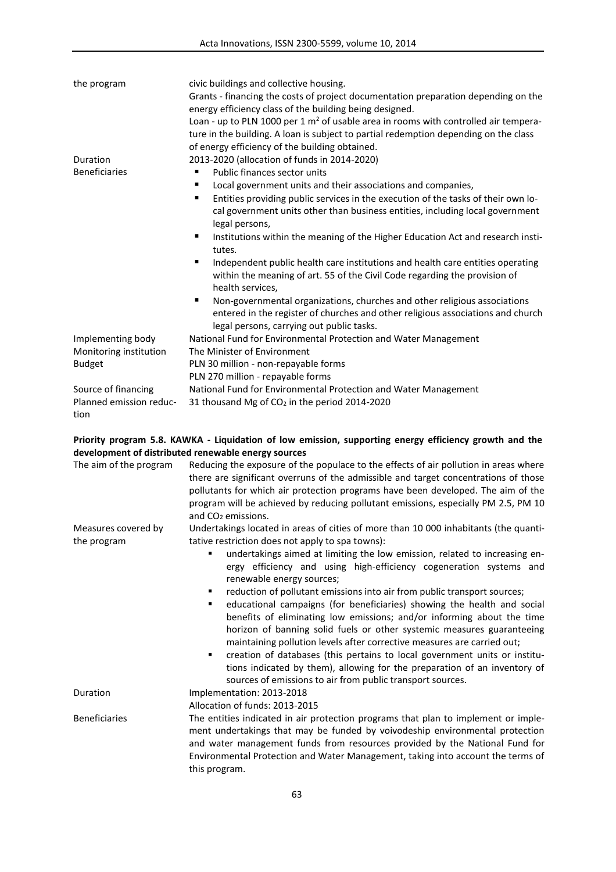| the program             | civic buildings and collective housing.<br>Grants - financing the costs of project documentation preparation depending on the<br>energy efficiency class of the building being designed.<br>Loan - up to PLN 1000 per 1 $m2$ of usable area in rooms with controlled air tempera-<br>ture in the building. A loan is subject to partial redemption depending on the class<br>of energy efficiency of the building obtained. |
|-------------------------|-----------------------------------------------------------------------------------------------------------------------------------------------------------------------------------------------------------------------------------------------------------------------------------------------------------------------------------------------------------------------------------------------------------------------------|
| Duration                | 2013-2020 (allocation of funds in 2014-2020)                                                                                                                                                                                                                                                                                                                                                                                |
| <b>Beneficiaries</b>    | Public finances sector units<br>٠                                                                                                                                                                                                                                                                                                                                                                                           |
|                         | Local government units and their associations and companies,                                                                                                                                                                                                                                                                                                                                                                |
|                         | Entities providing public services in the execution of the tasks of their own lo-<br>٠                                                                                                                                                                                                                                                                                                                                      |
|                         | cal government units other than business entities, including local government<br>legal persons,                                                                                                                                                                                                                                                                                                                             |
|                         | Institutions within the meaning of the Higher Education Act and research insti-<br>٠<br>tutes.                                                                                                                                                                                                                                                                                                                              |
|                         | Independent public health care institutions and health care entities operating<br>within the meaning of art. 55 of the Civil Code regarding the provision of<br>health services,                                                                                                                                                                                                                                            |
|                         | Non-governmental organizations, churches and other religious associations<br>٠<br>entered in the register of churches and other religious associations and church<br>legal persons, carrying out public tasks.                                                                                                                                                                                                              |
| Implementing body       | National Fund for Environmental Protection and Water Management                                                                                                                                                                                                                                                                                                                                                             |
| Monitoring institution  | The Minister of Environment                                                                                                                                                                                                                                                                                                                                                                                                 |
| <b>Budget</b>           | PLN 30 million - non-repayable forms                                                                                                                                                                                                                                                                                                                                                                                        |
|                         | PLN 270 million - repayable forms                                                                                                                                                                                                                                                                                                                                                                                           |
| Source of financing     | National Fund for Environmental Protection and Water Management                                                                                                                                                                                                                                                                                                                                                             |
| Planned emission reduc- | 31 thousand Mg of CO <sub>2</sub> in the period 2014-2020                                                                                                                                                                                                                                                                                                                                                                   |
| tion                    |                                                                                                                                                                                                                                                                                                                                                                                                                             |

# **Priority program 5.8. KAWKA - Liquidation of low emission, supporting energy efficiency growth and the development of distributed renewable energy sources**

| The aim of the program             | Reducing the exposure of the populace to the effects of air pollution in areas where<br>there are significant overruns of the admissible and target concentrations of those<br>pollutants for which air protection programs have been developed. The aim of the<br>program will be achieved by reducing pollutant emissions, especially PM 2.5, PM 10<br>and CO <sub>2</sub> emissions.                                                                                                                                                                                                                                                                                                                                                                                                                                  |
|------------------------------------|--------------------------------------------------------------------------------------------------------------------------------------------------------------------------------------------------------------------------------------------------------------------------------------------------------------------------------------------------------------------------------------------------------------------------------------------------------------------------------------------------------------------------------------------------------------------------------------------------------------------------------------------------------------------------------------------------------------------------------------------------------------------------------------------------------------------------|
| Measures covered by<br>the program | Undertakings located in areas of cities of more than 10 000 inhabitants (the quanti-<br>tative restriction does not apply to spa towns):                                                                                                                                                                                                                                                                                                                                                                                                                                                                                                                                                                                                                                                                                 |
|                                    | undertakings aimed at limiting the low emission, related to increasing en-<br>ergy efficiency and using high-efficiency cogeneration systems and<br>renewable energy sources;<br>reduction of pollutant emissions into air from public transport sources;<br>٠<br>educational campaigns (for beneficiaries) showing the health and social<br>٠<br>benefits of eliminating low emissions; and/or informing about the time<br>horizon of banning solid fuels or other systemic measures guaranteeing<br>maintaining pollution levels after corrective measures are carried out;<br>creation of databases (this pertains to local government units or institu-<br>$\blacksquare$<br>tions indicated by them), allowing for the preparation of an inventory of<br>sources of emissions to air from public transport sources. |
| Duration                           | Implementation: 2013-2018<br>Allocation of funds: 2013-2015                                                                                                                                                                                                                                                                                                                                                                                                                                                                                                                                                                                                                                                                                                                                                              |
| <b>Beneficiaries</b>               | The entities indicated in air protection programs that plan to implement or imple-<br>ment undertakings that may be funded by voivodeship environmental protection<br>and water management funds from resources provided by the National Fund for<br>Environmental Protection and Water Management, taking into account the terms of<br>this program.                                                                                                                                                                                                                                                                                                                                                                                                                                                                    |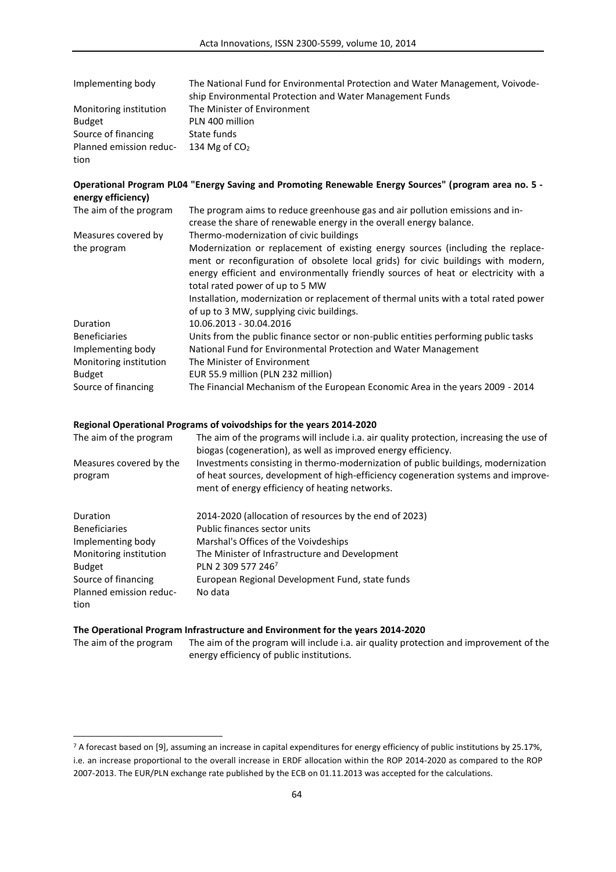| Implementing body       | The National Fund for Environmental Protection and Water Management, Voivode- |
|-------------------------|-------------------------------------------------------------------------------|
|                         | ship Environmental Protection and Water Management Funds                      |
| Monitoring institution  | The Minister of Environment                                                   |
| <b>Budget</b>           | PLN 400 million                                                               |
| Source of financing     | State funds                                                                   |
| Planned emission reduc- | 134 Mg of $CO2$                                                               |
| tion                    |                                                                               |

# **Operational Program PL04 "Energy Saving and Promoting Renewable Energy Sources" (program area no. 5 energy efficiency)**

| The aim of the program | The program aims to reduce greenhouse gas and air pollution emissions and in-<br>crease the share of renewable energy in the overall energy balance.                 |
|------------------------|----------------------------------------------------------------------------------------------------------------------------------------------------------------------|
|                        |                                                                                                                                                                      |
| Measures covered by    | Thermo-modernization of civic buildings                                                                                                                              |
| the program            | Modernization or replacement of existing energy sources (including the replace-<br>ment or reconfiguration of obsolete local grids) for civic buildings with modern, |
|                        | energy efficient and environmentally friendly sources of heat or electricity with a                                                                                  |
|                        | total rated power of up to 5 MW                                                                                                                                      |
|                        | Installation, modernization or replacement of thermal units with a total rated power                                                                                 |
|                        | of up to 3 MW, supplying civic buildings.                                                                                                                            |
| <b>Duration</b>        | 10.06.2013 - 30.04.2016                                                                                                                                              |
| <b>Beneficiaries</b>   | Units from the public finance sector or non-public entities performing public tasks                                                                                  |
| Implementing body      | National Fund for Environmental Protection and Water Management                                                                                                      |
| Monitoring institution | The Minister of Environment                                                                                                                                          |
| <b>Budget</b>          | EUR 55.9 million (PLN 232 million)                                                                                                                                   |
| Source of financing    | The Financial Mechanism of the European Economic Area in the years 2009 - 2014                                                                                       |

## **Regional Operational Programs of voivodships for the years 2014-2020**

| The aim of the program             | The aim of the programs will include i.a. air quality protection, increasing the use of<br>biogas (cogeneration), as well as improved energy efficiency.                                                                 |
|------------------------------------|--------------------------------------------------------------------------------------------------------------------------------------------------------------------------------------------------------------------------|
| Measures covered by the<br>program | Investments consisting in thermo-modernization of public buildings, modernization<br>of heat sources, development of high-efficiency cogeneration systems and improve-<br>ment of energy efficiency of heating networks. |
| Duration                           | 2014-2020 (allocation of resources by the end of 2023)                                                                                                                                                                   |
| <b>Beneficiaries</b>               | Public finances sector units                                                                                                                                                                                             |
| Implementing body                  | Marshal's Offices of the Voivdeships                                                                                                                                                                                     |
| Monitoring institution             | The Minister of Infrastructure and Development                                                                                                                                                                           |
| <b>Budget</b>                      | PLN 2 309 577 246 <sup>7</sup>                                                                                                                                                                                           |
| Source of financing                | European Regional Development Fund, state funds                                                                                                                                                                          |

# **The Operational Program Infrastructure and Environment for the years 2014-2020**

No data

Planned emission reduc-

tion

 $\overline{a}$ 

| The aim of the program | The aim of the program will include i.a. air quality protection and improvement of the |
|------------------------|----------------------------------------------------------------------------------------|
|                        | energy efficiency of public institutions.                                              |

<sup>7</sup> A forecast based on [9], assuming an increase in capital expenditures for energy efficiency of public institutions by 25.17%, i.e. an increase proportional to the overall increase in ERDF allocation within the ROP 2014-2020 as compared to the ROP 2007-2013. The EUR/PLN exchange rate published by the ECB on 01.11.2013 was accepted for the calculations.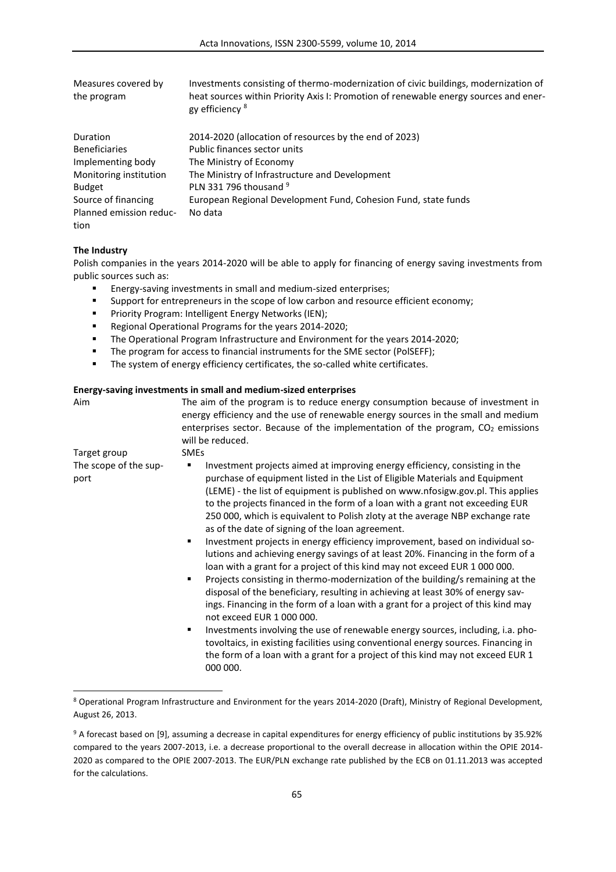| Measures covered by<br>the program | Investments consisting of thermo-modernization of civic buildings, modernization of<br>heat sources within Priority Axis I: Promotion of renewable energy sources and ener-<br>gy efficiency <sup>8</sup> |
|------------------------------------|-----------------------------------------------------------------------------------------------------------------------------------------------------------------------------------------------------------|
| Duration                           | 2014-2020 (allocation of resources by the end of 2023)                                                                                                                                                    |
| <b>Beneficiaries</b>               | Public finances sector units                                                                                                                                                                              |
| Implementing body                  | The Ministry of Economy                                                                                                                                                                                   |
| Monitoring institution             | The Ministry of Infrastructure and Development                                                                                                                                                            |
| <b>Budget</b>                      | PLN 331 796 thousand 9                                                                                                                                                                                    |
| Source of financing                | European Regional Development Fund, Cohesion Fund, state funds                                                                                                                                            |
| Planned emission reduc-            | No data                                                                                                                                                                                                   |
| tion                               |                                                                                                                                                                                                           |

#### **The Industry**

 $\overline{a}$ 

Polish companies in the years 2014-2020 will be able to apply for financing of energy saving investments from public sources such as:

- Energy-saving investments in small and medium-sized enterprises;
- Support for entrepreneurs in the scope of low carbon and resource efficient economy;<br>
Priority Program: Intelligent Energy Networks (IEN):
- Priority Program: Intelligent Energy Networks (IEN);
- Regional Operational Programs for the years 2014-2020;
- The Operational Program Infrastructure and Environment for the years 2014-2020;
- The program for access to financial instruments for the SME sector (PolSEFF);
- **The system of energy efficiency certificates, the so-called white certificates.**

### **Energy-saving investments in small and medium-sized enterprises**

| Aim                           | The aim of the program is to reduce energy consumption because of investment in<br>energy efficiency and the use of renewable energy sources in the small and medium<br>enterprises sector. Because of the implementation of the program, CO <sub>2</sub> emissions<br>will be reduced.                                                                                                                                                                                                                                                                                                                                                                                                                                                                                                                                                                                                                                                                                                                                                                                                                                                                                                                                                                                                               |
|-------------------------------|-------------------------------------------------------------------------------------------------------------------------------------------------------------------------------------------------------------------------------------------------------------------------------------------------------------------------------------------------------------------------------------------------------------------------------------------------------------------------------------------------------------------------------------------------------------------------------------------------------------------------------------------------------------------------------------------------------------------------------------------------------------------------------------------------------------------------------------------------------------------------------------------------------------------------------------------------------------------------------------------------------------------------------------------------------------------------------------------------------------------------------------------------------------------------------------------------------------------------------------------------------------------------------------------------------|
| Target group                  | <b>SMEs</b>                                                                                                                                                                                                                                                                                                                                                                                                                                                                                                                                                                                                                                                                                                                                                                                                                                                                                                                                                                                                                                                                                                                                                                                                                                                                                           |
| The scope of the sup-<br>port | Investment projects aimed at improving energy efficiency, consisting in the<br>purchase of equipment listed in the List of Eligible Materials and Equipment<br>(LEME) - the list of equipment is published on www.nfosigw.gov.pl. This applies<br>to the projects financed in the form of a loan with a grant not exceeding EUR<br>250 000, which is equivalent to Polish zloty at the average NBP exchange rate<br>as of the date of signing of the loan agreement.<br>Investment projects in energy efficiency improvement, based on individual so-<br>٠<br>lutions and achieving energy savings of at least 20%. Financing in the form of a<br>loan with a grant for a project of this kind may not exceed EUR 1 000 000.<br>Projects consisting in thermo-modernization of the building/s remaining at the<br>٠<br>disposal of the beneficiary, resulting in achieving at least 30% of energy sav-<br>ings. Financing in the form of a loan with a grant for a project of this kind may<br>not exceed EUR 1 000 000.<br>Investments involving the use of renewable energy sources, including, i.a. pho-<br>٠<br>tovoltaics, in existing facilities using conventional energy sources. Financing in<br>the form of a loan with a grant for a project of this kind may not exceed EUR 1<br>000 000. |

<sup>8</sup> Operational Program Infrastructure and Environment for the years 2014-2020 (Draft), Ministry of Regional Development, August 26, 2013.

<sup>9</sup> A forecast based on [9], assuming a decrease in capital expenditures for energy efficiency of public institutions by 35.92% compared to the years 2007-2013, i.e. a decrease proportional to the overall decrease in allocation within the OPIE 2014- 2020 as compared to the OPIE 2007-2013. The EUR/PLN exchange rate published by the ECB on 01.11.2013 was accepted for the calculations.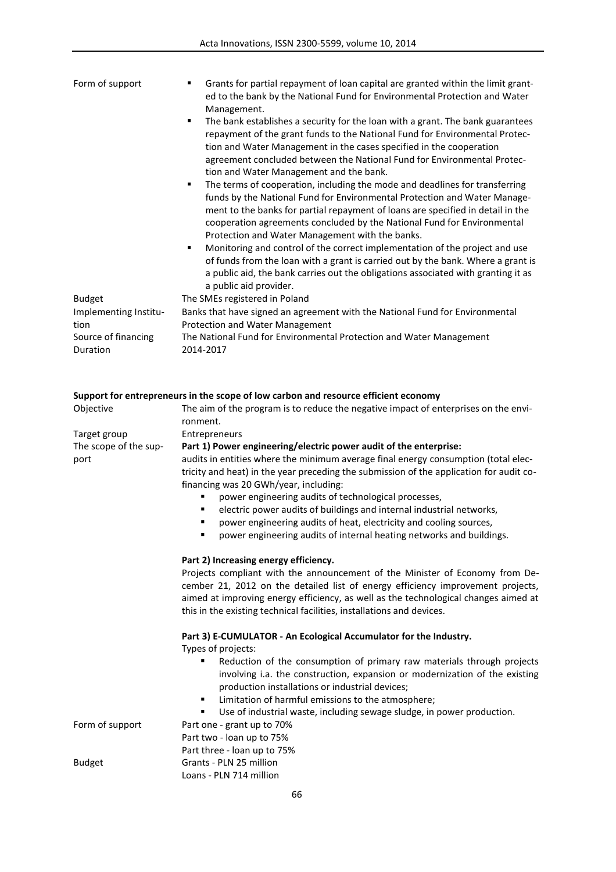| Form of support                 | Grants for partial repayment of loan capital are granted within the limit grant-<br>ed to the bank by the National Fund for Environmental Protection and Water<br>Management.                                                                                                                                                                                                                                                                                                                                                                                                                                                                                         |
|---------------------------------|-----------------------------------------------------------------------------------------------------------------------------------------------------------------------------------------------------------------------------------------------------------------------------------------------------------------------------------------------------------------------------------------------------------------------------------------------------------------------------------------------------------------------------------------------------------------------------------------------------------------------------------------------------------------------|
|                                 | The bank establishes a security for the loan with a grant. The bank guarantees<br>٠<br>repayment of the grant funds to the National Fund for Environmental Protec-<br>tion and Water Management in the cases specified in the cooperation<br>agreement concluded between the National Fund for Environmental Protec-<br>tion and Water Management and the bank.                                                                                                                                                                                                                                                                                                       |
|                                 | The terms of cooperation, including the mode and deadlines for transferring<br>٠<br>funds by the National Fund for Environmental Protection and Water Manage-<br>ment to the banks for partial repayment of loans are specified in detail in the<br>cooperation agreements concluded by the National Fund for Environmental<br>Protection and Water Management with the banks.<br>Monitoring and control of the correct implementation of the project and use<br>٠<br>of funds from the loan with a grant is carried out by the bank. Where a grant is<br>a public aid, the bank carries out the obligations associated with granting it as<br>a public aid provider. |
| <b>Budget</b>                   | The SMEs registered in Poland                                                                                                                                                                                                                                                                                                                                                                                                                                                                                                                                                                                                                                         |
| Implementing Institu-           | Banks that have signed an agreement with the National Fund for Environmental                                                                                                                                                                                                                                                                                                                                                                                                                                                                                                                                                                                          |
| tion                            | Protection and Water Management                                                                                                                                                                                                                                                                                                                                                                                                                                                                                                                                                                                                                                       |
| Source of financing<br>Duration | The National Fund for Environmental Protection and Water Management<br>2014-2017                                                                                                                                                                                                                                                                                                                                                                                                                                                                                                                                                                                      |

|                               | Support for entrepreneurs in the scope of low carbon and resource efficient economy                                                                                                                                                                                                                                                                                                                                                                                                                                                                                                      |
|-------------------------------|------------------------------------------------------------------------------------------------------------------------------------------------------------------------------------------------------------------------------------------------------------------------------------------------------------------------------------------------------------------------------------------------------------------------------------------------------------------------------------------------------------------------------------------------------------------------------------------|
| Objective                     | The aim of the program is to reduce the negative impact of enterprises on the envi-<br>ronment.                                                                                                                                                                                                                                                                                                                                                                                                                                                                                          |
| Target group                  | Entrepreneurs                                                                                                                                                                                                                                                                                                                                                                                                                                                                                                                                                                            |
| The scope of the sup-<br>port | Part 1) Power engineering/electric power audit of the enterprise:<br>audits in entities where the minimum average final energy consumption (total elec-<br>tricity and heat) in the year preceding the submission of the application for audit co-<br>financing was 20 GWh/year, including:<br>power engineering audits of technological processes,<br>electric power audits of buildings and internal industrial networks,<br>٠<br>power engineering audits of heat, electricity and cooling sources,<br>٠<br>power engineering audits of internal heating networks and buildings.<br>٠ |
|                               | Part 2) Increasing energy efficiency.<br>Projects compliant with the announcement of the Minister of Economy from De-<br>cember 21, 2012 on the detailed list of energy efficiency improvement projects,<br>aimed at improving energy efficiency, as well as the technological changes aimed at<br>this in the existing technical facilities, installations and devices.                                                                                                                                                                                                                 |
|                               | Part 3) E-CUMULATOR - An Ecological Accumulator for the Industry.<br>Types of projects:<br>Reduction of the consumption of primary raw materials through projects<br>involving i.a. the construction, expansion or modernization of the existing                                                                                                                                                                                                                                                                                                                                         |
|                               | production installations or industrial devices;<br>Limitation of harmful emissions to the atmosphere;<br>٠                                                                                                                                                                                                                                                                                                                                                                                                                                                                               |
| Form of support               | Use of industrial waste, including sewage sludge, in power production.<br>٠<br>Part one - grant up to 70%<br>Part two - loan up to 75%<br>Part three - loan up to 75%                                                                                                                                                                                                                                                                                                                                                                                                                    |
| <b>Budget</b>                 | Grants - PLN 25 million<br>Loans - PLN 714 million                                                                                                                                                                                                                                                                                                                                                                                                                                                                                                                                       |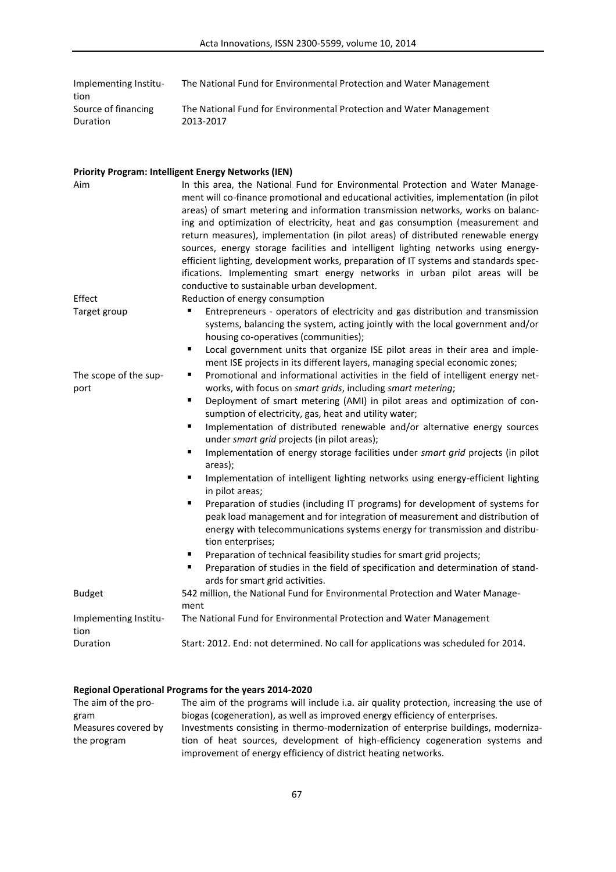| Implementing Institu- | The National Fund for Environmental Protection and Water Management |
|-----------------------|---------------------------------------------------------------------|
| tion                  |                                                                     |
| Source of financing   | The National Fund for Environmental Protection and Water Management |
| Duration              | 2013-2017                                                           |

### **Priority Program: Intelligent Energy Networks (IEN)**

| Aim                           | In this area, the National Fund for Environmental Protection and Water Manage-<br>ment will co-finance promotional and educational activities, implementation (in pilot<br>areas) of smart metering and information transmission networks, works on balanc-<br>ing and optimization of electricity, heat and gas consumption (measurement and<br>return measures), implementation (in pilot areas) of distributed renewable energy<br>sources, energy storage facilities and intelligent lighting networks using energy-<br>efficient lighting, development works, preparation of IT systems and standards spec-<br>ifications. Implementing smart energy networks in urban pilot areas will be<br>conductive to sustainable urban development. |
|-------------------------------|-------------------------------------------------------------------------------------------------------------------------------------------------------------------------------------------------------------------------------------------------------------------------------------------------------------------------------------------------------------------------------------------------------------------------------------------------------------------------------------------------------------------------------------------------------------------------------------------------------------------------------------------------------------------------------------------------------------------------------------------------|
| Effect                        | Reduction of energy consumption                                                                                                                                                                                                                                                                                                                                                                                                                                                                                                                                                                                                                                                                                                                 |
| Target group                  | Entrepreneurs - operators of electricity and gas distribution and transmission<br>systems, balancing the system, acting jointly with the local government and/or<br>housing co-operatives (communities);<br>Local government units that organize ISE pilot areas in their area and imple-<br>Ξ                                                                                                                                                                                                                                                                                                                                                                                                                                                  |
|                               | ment ISE projects in its different layers, managing special economic zones;                                                                                                                                                                                                                                                                                                                                                                                                                                                                                                                                                                                                                                                                     |
| The scope of the sup-<br>port | Promotional and informational activities in the field of intelligent energy net-<br>٠<br>works, with focus on smart grids, including smart metering;                                                                                                                                                                                                                                                                                                                                                                                                                                                                                                                                                                                            |
|                               | Deployment of smart metering (AMI) in pilot areas and optimization of con-<br>٠<br>sumption of electricity, gas, heat and utility water;                                                                                                                                                                                                                                                                                                                                                                                                                                                                                                                                                                                                        |
|                               | Implementation of distributed renewable and/or alternative energy sources<br>$\blacksquare$<br>under smart grid projects (in pilot areas);                                                                                                                                                                                                                                                                                                                                                                                                                                                                                                                                                                                                      |
|                               | Implementation of energy storage facilities under smart grid projects (in pilot<br>$\blacksquare$<br>areas);                                                                                                                                                                                                                                                                                                                                                                                                                                                                                                                                                                                                                                    |
|                               | Implementation of intelligent lighting networks using energy-efficient lighting<br>in pilot areas;                                                                                                                                                                                                                                                                                                                                                                                                                                                                                                                                                                                                                                              |
|                               | Preparation of studies (including IT programs) for development of systems for<br>٠<br>peak load management and for integration of measurement and distribution of<br>energy with telecommunications systems energy for transmission and distribu-<br>tion enterprises;                                                                                                                                                                                                                                                                                                                                                                                                                                                                          |
|                               | Preparation of technical feasibility studies for smart grid projects;<br>Preparation of studies in the field of specification and determination of stand-<br>$\blacksquare$<br>ards for smart grid activities.                                                                                                                                                                                                                                                                                                                                                                                                                                                                                                                                  |
| <b>Budget</b>                 | 542 million, the National Fund for Environmental Protection and Water Manage-<br>ment                                                                                                                                                                                                                                                                                                                                                                                                                                                                                                                                                                                                                                                           |
| Implementing Institu-<br>tion | The National Fund for Environmental Protection and Water Management                                                                                                                                                                                                                                                                                                                                                                                                                                                                                                                                                                                                                                                                             |
| Duration                      | Start: 2012. End: not determined. No call for applications was scheduled for 2014.                                                                                                                                                                                                                                                                                                                                                                                                                                                                                                                                                                                                                                                              |

# **Regional Operational Programs for the years 2014-2020**

| The aim of the pro- | The aim of the programs will include i.a. air quality protection, increasing the use of |
|---------------------|-----------------------------------------------------------------------------------------|
| gram                | biogas (cogeneration), as well as improved energy efficiency of enterprises.            |
| Measures covered by | Investments consisting in thermo-modernization of enterprise buildings, moderniza-      |
| the program         | tion of heat sources, development of high-efficiency cogeneration systems and           |
|                     | improvement of energy efficiency of district heating networks.                          |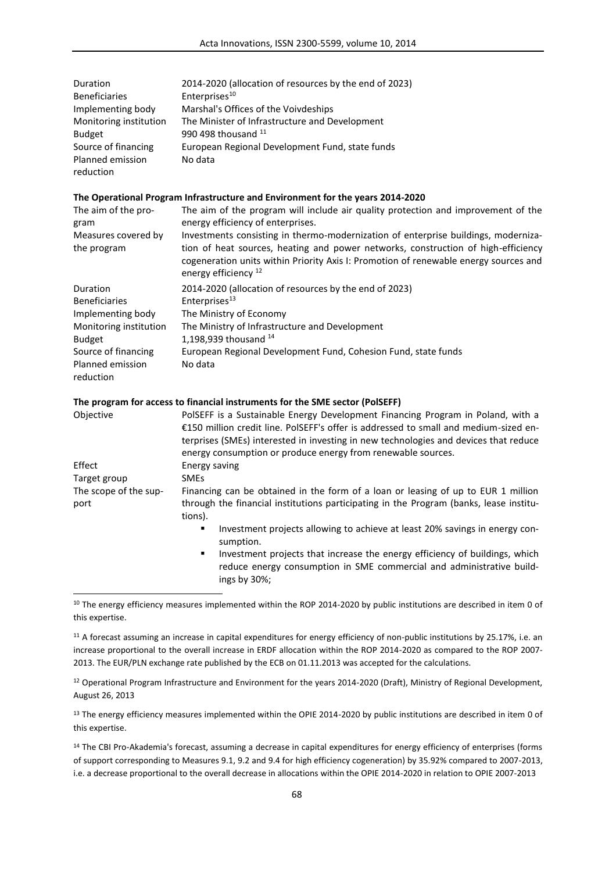| Duration                                             | 2014-2020 (allocation of resources by the end of 2023)                                                                                                                                                                                                                                             |
|------------------------------------------------------|----------------------------------------------------------------------------------------------------------------------------------------------------------------------------------------------------------------------------------------------------------------------------------------------------|
| <b>Beneficiaries</b>                                 | Enterprises <sup>10</sup>                                                                                                                                                                                                                                                                          |
| Implementing body                                    | Marshal's Offices of the Voivdeships                                                                                                                                                                                                                                                               |
| Monitoring institution<br><b>Budget</b>              | The Minister of Infrastructure and Development<br>990 498 thousand $11$                                                                                                                                                                                                                            |
| Source of financing<br>Planned emission<br>reduction | European Regional Development Fund, state funds<br>No data                                                                                                                                                                                                                                         |
|                                                      | The Operational Program Infrastructure and Environment for the years 2014-2020                                                                                                                                                                                                                     |
| The aim of the pro-<br>gram                          | The aim of the program will include air quality protection and improvement of the<br>energy efficiency of enterprises.                                                                                                                                                                             |
| Measures covered by<br>the program                   | Investments consisting in thermo-modernization of enterprise buildings, moderniza-<br>tion of heat sources, heating and power networks, construction of high-efficiency<br>cogeneration units within Priority Axis I: Promotion of renewable energy sources and<br>energy efficiency <sup>12</sup> |
| Duration<br><b>Beneficiaries</b>                     | 2014-2020 (allocation of resources by the end of 2023)<br>Enterprises <sup>13</sup>                                                                                                                                                                                                                |
| Implementing body                                    | The Ministry of Economy                                                                                                                                                                                                                                                                            |
| Monitoring institution                               | The Ministry of Infrastructure and Development                                                                                                                                                                                                                                                     |
| <b>Budget</b>                                        | 1,198,939 thousand 14                                                                                                                                                                                                                                                                              |
| Source of financing                                  | European Regional Development Fund, Cohesion Fund, state funds                                                                                                                                                                                                                                     |
| Planned emission<br>reduction                        | No data                                                                                                                                                                                                                                                                                            |
|                                                      | The program for access to financial instruments for the SME sector (PolSEFF)                                                                                                                                                                                                                       |
| Objective                                            | PolSEFF is a Sustainable Energy Development Financing Program in Poland, with a                                                                                                                                                                                                                    |

|                               | €150 million credit line. PolSEFF's offer is addressed to small and medium-sized en-<br>terprises (SMEs) interested in investing in new technologies and devices that reduce<br>energy consumption or produce energy from renewable sources. |
|-------------------------------|----------------------------------------------------------------------------------------------------------------------------------------------------------------------------------------------------------------------------------------------|
| Effect                        | Energy saving                                                                                                                                                                                                                                |
| Target group                  | <b>SMEs</b>                                                                                                                                                                                                                                  |
| The scope of the sup-<br>port | Financing can be obtained in the form of a loan or leasing of up to EUR 1 million<br>through the financial institutions participating in the Program (banks, lease institu-<br>tions).                                                       |
|                               | Investment projects allowing to achieve at least 20% savings in energy con-<br>٠<br>sumption.                                                                                                                                                |
|                               | Investment projects that increase the energy efficiency of buildings, which<br>٠<br>reduce energy consumption in SME commercial and administrative build-<br>ings by 30%;                                                                    |
|                               |                                                                                                                                                                                                                                              |

<sup>10</sup> The energy efficiency measures implemented within the ROP 2014-2020 by public institutions are described in item 0 of this expertise.

<sup>11</sup> A forecast assuming an increase in capital expenditures for energy efficiency of non-public institutions by 25.17%, i.e. an increase proportional to the overall increase in ERDF allocation within the ROP 2014-2020 as compared to the ROP 2007- 2013. The EUR/PLN exchange rate published by the ECB on 01.11.2013 was accepted for the calculations.

<sup>12</sup> Operational Program Infrastructure and Environment for the years 2014-2020 (Draft), Ministry of Regional Development, August 26, 2013

<sup>13</sup> The energy efficiency measures implemented within the OPIE 2014-2020 by public institutions are described in item 0 of this expertise.

<sup>14</sup> The CBI Pro-Akademia's forecast, assuming a decrease in capital expenditures for energy efficiency of enterprises (forms of support corresponding to Measures 9.1, 9.2 and 9.4 for high efficiency cogeneration) by 35.92% compared to 2007-2013, i.e. a decrease proportional to the overall decrease in allocations within the OPIE 2014-2020 in relation to OPIE 2007-2013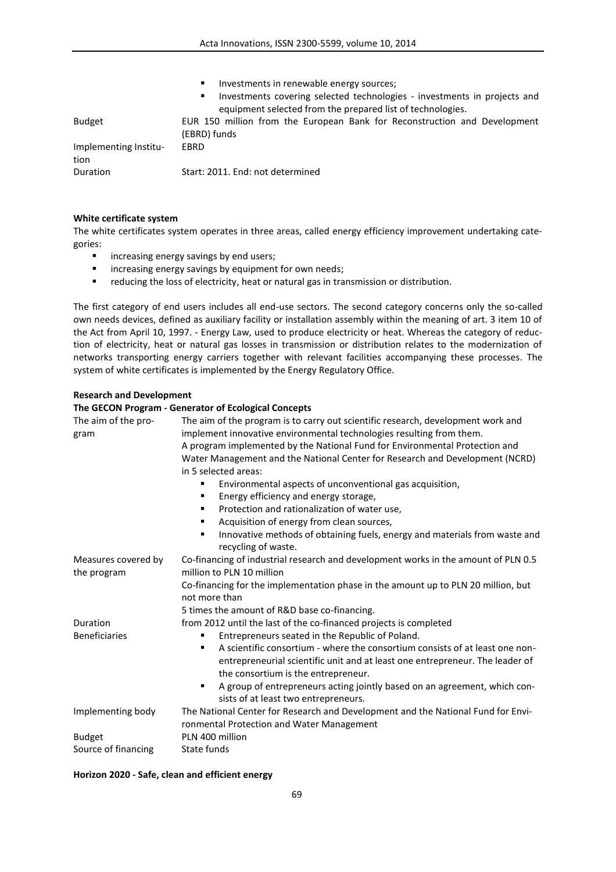|                       | Investments in renewable energy sources;<br>п.<br>Investments covering selected technologies - investments in projects and<br>п.<br>equipment selected from the prepared list of technologies. |
|-----------------------|------------------------------------------------------------------------------------------------------------------------------------------------------------------------------------------------|
| <b>Budget</b>         | EUR 150 million from the European Bank for Reconstruction and Development<br>(EBRD) funds                                                                                                      |
| Implementing Institu- | EBRD                                                                                                                                                                                           |
| tion<br>Duration      | Start: 2011. End: not determined                                                                                                                                                               |

### **White certificate system**

The white certificates system operates in three areas, called energy efficiency improvement undertaking categories:

- **EXED:** increasing energy savings by end users;
- **EXED:** increasing energy savings by equipment for own needs;
- **•** reducing the loss of electricity, heat or natural gas in transmission or distribution.

The first category of end users includes all end-use sectors. The second category concerns only the so-called own needs devices, defined as auxiliary facility or installation assembly within the meaning of art. 3 item 10 of the Act from April 10, 1997. - Energy Law, used to produce electricity or heat. Whereas the category of reduction of electricity, heat or natural gas losses in transmission or distribution relates to the modernization of networks transporting energy carriers together with relevant facilities accompanying these processes. The system of white certificates is implemented by the Energy Regulatory Office.

#### **Research and Development**

#### **The GECON Program - Generator of Ecological Concepts**

| The aim of the pro-<br>gram | The aim of the program is to carry out scientific research, development work and<br>implement innovative environmental technologies resulting from them.<br>A program implemented by the National Fund for Environmental Protection and<br>Water Management and the National Center for Research and Development (NCRD)<br>in 5 selected areas:<br>Environmental aspects of unconventional gas acquisition,<br>Energy efficiency and energy storage,<br>٠<br>Protection and rationalization of water use,<br>٠<br>Acquisition of energy from clean sources, |
|-----------------------------|-------------------------------------------------------------------------------------------------------------------------------------------------------------------------------------------------------------------------------------------------------------------------------------------------------------------------------------------------------------------------------------------------------------------------------------------------------------------------------------------------------------------------------------------------------------|
|                             | Innovative methods of obtaining fuels, energy and materials from waste and<br>٠<br>recycling of waste.                                                                                                                                                                                                                                                                                                                                                                                                                                                      |
| Measures covered by         | Co-financing of industrial research and development works in the amount of PLN 0.5                                                                                                                                                                                                                                                                                                                                                                                                                                                                          |
| the program                 | million to PLN 10 million                                                                                                                                                                                                                                                                                                                                                                                                                                                                                                                                   |
|                             | Co-financing for the implementation phase in the amount up to PLN 20 million, but<br>not more than                                                                                                                                                                                                                                                                                                                                                                                                                                                          |
|                             | 5 times the amount of R&D base co-financing.                                                                                                                                                                                                                                                                                                                                                                                                                                                                                                                |
| Duration                    | from 2012 until the last of the co-financed projects is completed                                                                                                                                                                                                                                                                                                                                                                                                                                                                                           |
| <b>Beneficiaries</b>        | Entrepreneurs seated in the Republic of Poland.                                                                                                                                                                                                                                                                                                                                                                                                                                                                                                             |
|                             | A scientific consortium - where the consortium consists of at least one non-<br>entrepreneurial scientific unit and at least one entrepreneur. The leader of<br>the consortium is the entrepreneur.                                                                                                                                                                                                                                                                                                                                                         |
|                             | A group of entrepreneurs acting jointly based on an agreement, which con-<br>٠<br>sists of at least two entrepreneurs.                                                                                                                                                                                                                                                                                                                                                                                                                                      |
| Implementing body           | The National Center for Research and Development and the National Fund for Envi-                                                                                                                                                                                                                                                                                                                                                                                                                                                                            |
|                             | ronmental Protection and Water Management                                                                                                                                                                                                                                                                                                                                                                                                                                                                                                                   |
| <b>Budget</b>               | PLN 400 million                                                                                                                                                                                                                                                                                                                                                                                                                                                                                                                                             |
| Source of financing         | State funds                                                                                                                                                                                                                                                                                                                                                                                                                                                                                                                                                 |

### **Horizon 2020 - Safe, clean and efficient energy**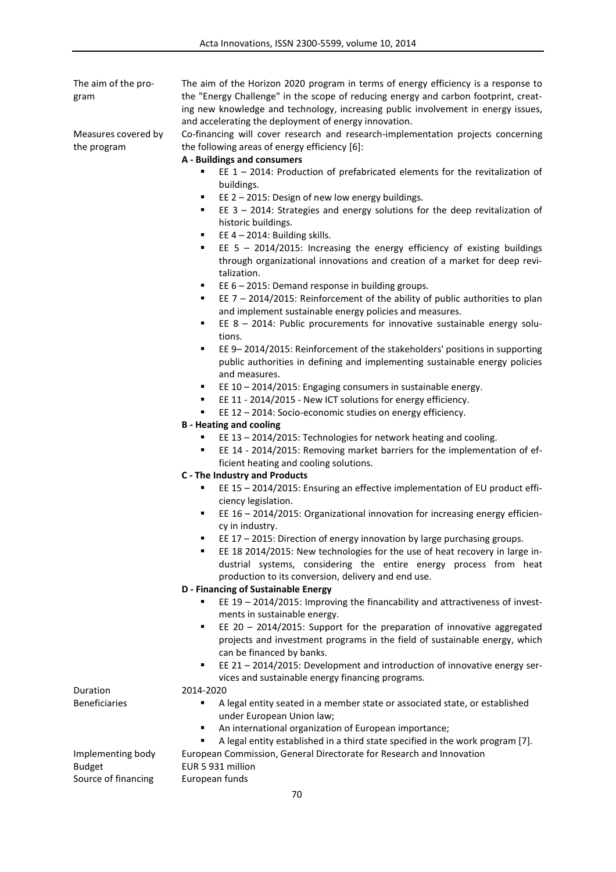The aim of the program

Measures covered by the program

The aim of the Horizon 2020 program in terms of energy efficiency is a response to the "Energy Challenge" in the scope of reducing energy and carbon footprint, creating new knowledge and technology, increasing public involvement in energy issues, and accelerating the deployment of energy innovation.

Co-financing will cover research and research-implementation projects concerning the following areas of energy efficiency [6]:

**A - Buildings and consumers**

- EE 1 2014: Production of prefabricated elements for the revitalization of buildings.
- **EE 2 2015: Design of new low energy buildings.**
- EE 3 2014: Strategies and energy solutions for the deep revitalization of historic buildings.
- EE  $4 2014$ : Building skills.
- EE 5 2014/2015: Increasing the energy efficiency of existing buildings through organizational innovations and creation of a market for deep revitalization.
- EE 6 2015: Demand response in building groups.
- EE 7 2014/2015: Reinforcement of the ability of public authorities to plan and implement sustainable energy policies and measures.
- EE 8 2014: Public procurements for innovative sustainable energy solutions.
- EE 9– 2014/2015: Reinforcement of the stakeholders' positions in supporting public authorities in defining and implementing sustainable energy policies and measures.
- EE 10 2014/2015: Engaging consumers in sustainable energy.
- EE 11 2014/2015 New ICT solutions for energy efficiency.
- EE 12 2014: Socio-economic studies on energy efficiency.
- **B - Heating and cooling**
	- EE 13 2014/2015: Technologies for network heating and cooling.
	- EE 14 2014/2015: Removing market barriers for the implementation of efficient heating and cooling solutions.
- **C - The Industry and Products** 
	- EE 15 2014/2015: Ensuring an effective implementation of EU product efficiency legislation.
	- EE 16 2014/2015: Organizational innovation for increasing energy efficiency in industry.
	- EE 17 2015: Direction of energy innovation by large purchasing groups.
	- EE 18 2014/2015: New technologies for the use of heat recovery in large industrial systems, considering the entire energy process from heat production to its conversion, delivery and end use.

## **D - Financing of Sustainable Energy**

- EE 19 2014/2015: Improving the financability and attractiveness of investments in sustainable energy.
- EE 20 2014/2015: Support for the preparation of innovative aggregated projects and investment programs in the field of sustainable energy, which can be financed by banks.
- EE 21 2014/2015: Development and introduction of innovative energy services and sustainable energy financing programs.

Duration 2014-2020

- Beneficiaries **EX CONFIDENT A Legal entity seated in a member state or associated state, or established** under European Union law;
	- An international organization of European importance;
	- A legal entity established in a third state specified in the work program [7].

Implementing body European Commission, General Directorate for Research and Innovation

Budget EUR 5 931 million Source of financing European funds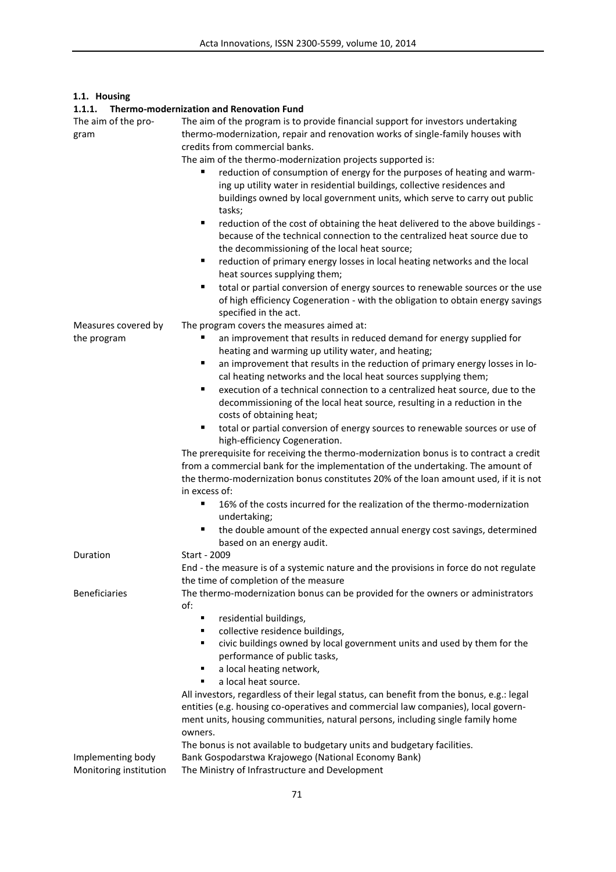# **1.1. Housing**

| 1.1.1.                                         | <b>Thermo-modernization and Renovation Fund</b>                                                                                                                                                                                                                                                                                                                                                                                                                                                                                                                                                                                                                                                                                                                                                                                                                                                                                                                                                                                                                                                                                                                 |
|------------------------------------------------|-----------------------------------------------------------------------------------------------------------------------------------------------------------------------------------------------------------------------------------------------------------------------------------------------------------------------------------------------------------------------------------------------------------------------------------------------------------------------------------------------------------------------------------------------------------------------------------------------------------------------------------------------------------------------------------------------------------------------------------------------------------------------------------------------------------------------------------------------------------------------------------------------------------------------------------------------------------------------------------------------------------------------------------------------------------------------------------------------------------------------------------------------------------------|
| The aim of the pro-<br>gram                    | The aim of the program is to provide financial support for investors undertaking<br>thermo-modernization, repair and renovation works of single-family houses with<br>credits from commercial banks.<br>The aim of the thermo-modernization projects supported is:<br>reduction of consumption of energy for the purposes of heating and warm-<br>ing up utility water in residential buildings, collective residences and<br>buildings owned by local government units, which serve to carry out public<br>tasks;<br>٠<br>reduction of the cost of obtaining the heat delivered to the above buildings -<br>because of the technical connection to the centralized heat source due to<br>the decommissioning of the local heat source;<br>reduction of primary energy losses in local heating networks and the local<br>٠<br>heat sources supplying them;<br>total or partial conversion of energy sources to renewable sources or the use<br>٠<br>of high efficiency Cogeneration - with the obligation to obtain energy savings                                                                                                                              |
|                                                | specified in the act.                                                                                                                                                                                                                                                                                                                                                                                                                                                                                                                                                                                                                                                                                                                                                                                                                                                                                                                                                                                                                                                                                                                                           |
| Measures covered by<br>the program<br>Duration | The program covers the measures aimed at:<br>an improvement that results in reduced demand for energy supplied for<br>heating and warming up utility water, and heating;<br>an improvement that results in the reduction of primary energy losses in lo-<br>cal heating networks and the local heat sources supplying them;<br>execution of a technical connection to a centralized heat source, due to the<br>٠<br>decommissioning of the local heat source, resulting in a reduction in the<br>costs of obtaining heat;<br>total or partial conversion of energy sources to renewable sources or use of<br>٠<br>high-efficiency Cogeneration.<br>The prerequisite for receiving the thermo-modernization bonus is to contract a credit<br>from a commercial bank for the implementation of the undertaking. The amount of<br>the thermo-modernization bonus constitutes 20% of the loan amount used, if it is not<br>in excess of:<br>16% of the costs incurred for the realization of the thermo-modernization<br>٠<br>undertaking;<br>the double amount of the expected annual energy cost savings, determined<br>based on an energy audit.<br>Start - 2009 |
|                                                | End - the measure is of a systemic nature and the provisions in force do not regulate                                                                                                                                                                                                                                                                                                                                                                                                                                                                                                                                                                                                                                                                                                                                                                                                                                                                                                                                                                                                                                                                           |
| <b>Beneficiaries</b>                           | the time of completion of the measure<br>The thermo-modernization bonus can be provided for the owners or administrators<br>of:<br>residential buildings,<br>п<br>collective residence buildings,<br>٠<br>civic buildings owned by local government units and used by them for the<br>٠<br>performance of public tasks,<br>a local heating network,<br>٠<br>a local heat source.<br>All investors, regardless of their legal status, can benefit from the bonus, e.g.: legal<br>entities (e.g. housing co-operatives and commercial law companies), local govern-<br>ment units, housing communities, natural persons, including single family home<br>owners.                                                                                                                                                                                                                                                                                                                                                                                                                                                                                                  |
|                                                | The bonus is not available to budgetary units and budgetary facilities.                                                                                                                                                                                                                                                                                                                                                                                                                                                                                                                                                                                                                                                                                                                                                                                                                                                                                                                                                                                                                                                                                         |
| Implementing body<br>Monitoring institution    | Bank Gospodarstwa Krajowego (National Economy Bank)<br>The Ministry of Infrastructure and Development                                                                                                                                                                                                                                                                                                                                                                                                                                                                                                                                                                                                                                                                                                                                                                                                                                                                                                                                                                                                                                                           |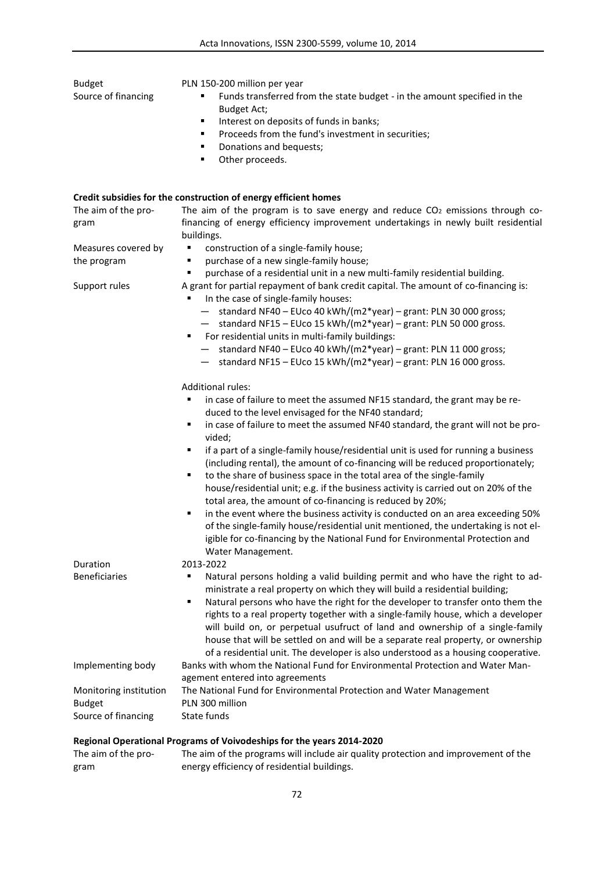| <b>Budget</b>                        | PLN 150-200 million per year                                                                                                                                                                                                                                                                                                                                                                                                      |
|--------------------------------------|-----------------------------------------------------------------------------------------------------------------------------------------------------------------------------------------------------------------------------------------------------------------------------------------------------------------------------------------------------------------------------------------------------------------------------------|
| Source of financing                  | Funds transferred from the state budget - in the amount specified in the<br>Budget Act;                                                                                                                                                                                                                                                                                                                                           |
|                                      | Interest on deposits of funds in banks;<br>٠                                                                                                                                                                                                                                                                                                                                                                                      |
|                                      | Proceeds from the fund's investment in securities;<br>٠                                                                                                                                                                                                                                                                                                                                                                           |
|                                      | Donations and bequests;                                                                                                                                                                                                                                                                                                                                                                                                           |
|                                      | Other proceeds.<br>٠                                                                                                                                                                                                                                                                                                                                                                                                              |
|                                      | Credit subsidies for the construction of energy efficient homes                                                                                                                                                                                                                                                                                                                                                                   |
| The aim of the pro-                  | The aim of the program is to save energy and reduce CO <sub>2</sub> emissions through co-                                                                                                                                                                                                                                                                                                                                         |
| gram                                 | financing of energy efficiency improvement undertakings in newly built residential<br>buildings.                                                                                                                                                                                                                                                                                                                                  |
| Measures covered by                  | construction of a single-family house;                                                                                                                                                                                                                                                                                                                                                                                            |
| the program                          | purchase of a new single-family house;<br>٠                                                                                                                                                                                                                                                                                                                                                                                       |
|                                      | purchase of a residential unit in a new multi-family residential building.                                                                                                                                                                                                                                                                                                                                                        |
| Support rules                        | A grant for partial repayment of bank credit capital. The amount of co-financing is:<br>In the case of single-family houses:<br>٠                                                                                                                                                                                                                                                                                                 |
|                                      | standard NF40 - EUco 40 kWh/(m2*year) - grant: PLN 30 000 gross;<br>$\qquad \qquad -$                                                                                                                                                                                                                                                                                                                                             |
|                                      | standard NF15 - EUco 15 kWh/(m2*year) - grant: PLN 50 000 gross.                                                                                                                                                                                                                                                                                                                                                                  |
|                                      | For residential units in multi-family buildings:<br>٠                                                                                                                                                                                                                                                                                                                                                                             |
|                                      | standard NF40 - EUco 40 kWh/(m2*year) - grant: PLN 11 000 gross;<br>$\overline{\phantom{0}}$                                                                                                                                                                                                                                                                                                                                      |
|                                      | standard NF15 - EUco 15 kWh/(m2*year) - grant: PLN 16 000 gross.                                                                                                                                                                                                                                                                                                                                                                  |
|                                      | <b>Additional rules:</b>                                                                                                                                                                                                                                                                                                                                                                                                          |
|                                      | in case of failure to meet the assumed NF15 standard, the grant may be re-<br>٠                                                                                                                                                                                                                                                                                                                                                   |
|                                      | duced to the level envisaged for the NF40 standard;                                                                                                                                                                                                                                                                                                                                                                               |
|                                      | in case of failure to meet the assumed NF40 standard, the grant will not be pro-<br>٠<br>vided;                                                                                                                                                                                                                                                                                                                                   |
|                                      | if a part of a single-family house/residential unit is used for running a business<br>٠                                                                                                                                                                                                                                                                                                                                           |
|                                      | (including rental), the amount of co-financing will be reduced proportionately;                                                                                                                                                                                                                                                                                                                                                   |
|                                      | to the share of business space in the total area of the single-family<br>٠                                                                                                                                                                                                                                                                                                                                                        |
|                                      | house/residential unit; e.g. if the business activity is carried out on 20% of the                                                                                                                                                                                                                                                                                                                                                |
|                                      | total area, the amount of co-financing is reduced by 20%;                                                                                                                                                                                                                                                                                                                                                                         |
|                                      | in the event where the business activity is conducted on an area exceeding 50%<br>٠                                                                                                                                                                                                                                                                                                                                               |
|                                      | of the single-family house/residential unit mentioned, the undertaking is not el-                                                                                                                                                                                                                                                                                                                                                 |
|                                      | igible for co-financing by the National Fund for Environmental Protection and                                                                                                                                                                                                                                                                                                                                                     |
|                                      | Water Management.                                                                                                                                                                                                                                                                                                                                                                                                                 |
| Duration                             | 2013-2022                                                                                                                                                                                                                                                                                                                                                                                                                         |
| <b>Beneficiaries</b>                 | Natural persons holding a valid building permit and who have the right to ad-<br>ministrate a real property on which they will build a residential building;                                                                                                                                                                                                                                                                      |
|                                      | Natural persons who have the right for the developer to transfer onto them the<br>٠<br>rights to a real property together with a single-family house, which a developer<br>will build on, or perpetual usufruct of land and ownership of a single-family<br>house that will be settled on and will be a separate real property, or ownership<br>of a residential unit. The developer is also understood as a housing cooperative. |
| Implementing body                    | Banks with whom the National Fund for Environmental Protection and Water Man-                                                                                                                                                                                                                                                                                                                                                     |
|                                      | agement entered into agreements                                                                                                                                                                                                                                                                                                                                                                                                   |
| Monitoring institution               | The National Fund for Environmental Protection and Water Management<br>PLN 300 million                                                                                                                                                                                                                                                                                                                                            |
| <b>Budget</b><br>Source of financing | State funds                                                                                                                                                                                                                                                                                                                                                                                                                       |
|                                      |                                                                                                                                                                                                                                                                                                                                                                                                                                   |

# **Regional Operational Programs of Voivodeships for the years 2014-2020**

| The aim of the pro- | The aim of the programs will include air quality protection and improvement of the |
|---------------------|------------------------------------------------------------------------------------|
| gram                | energy efficiency of residential buildings.                                        |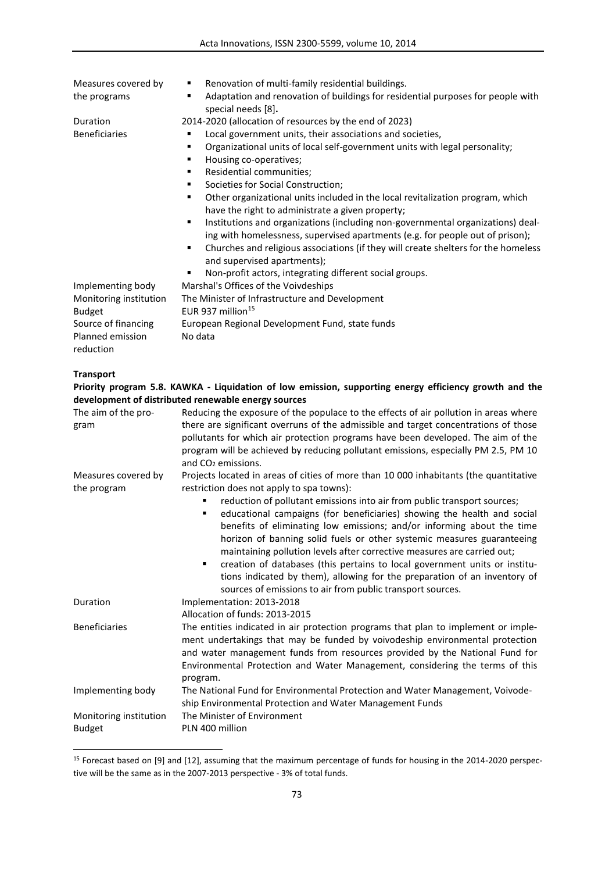| Measures covered by    | Renovation of multi-family residential buildings.<br>٠                                                     |
|------------------------|------------------------------------------------------------------------------------------------------------|
| the programs           | Adaptation and renovation of buildings for residential purposes for people with<br>٠<br>special needs [8]. |
| Duration               | 2014-2020 (allocation of resources by the end of 2023)                                                     |
| <b>Beneficiaries</b>   | Local government units, their associations and societies,                                                  |
|                        | Organizational units of local self-government units with legal personality;<br>٠                           |
|                        | Housing co-operatives;<br>٠                                                                                |
|                        | Residential communities;<br>٠                                                                              |
|                        | Societies for Social Construction;<br>٠                                                                    |
|                        | Other organizational units included in the local revitalization program, which<br>٠                        |
|                        | have the right to administrate a given property;                                                           |
|                        | Institutions and organizations (including non-governmental organizations) deal-<br>٠                       |
|                        | ing with homelessness, supervised apartments (e.g. for people out of prison);                              |
|                        | Churches and religious associations (if they will create shelters for the homeless<br>٠                    |
|                        | and supervised apartments);                                                                                |
|                        | Non-profit actors, integrating different social groups.                                                    |
| Implementing body      | Marshal's Offices of the Voivdeships                                                                       |
| Monitoring institution | The Minister of Infrastructure and Development                                                             |
| <b>Budget</b>          | EUR 937 million <sup>15</sup>                                                                              |
| Source of financing    | European Regional Development Fund, state funds                                                            |
| Planned emission       | No data                                                                                                    |
| reduction              |                                                                                                            |
|                        |                                                                                                            |
| <b>Transport</b>       |                                                                                                            |
|                        | Priority program 5.8. KAWKA - Liquidation of low emission, supporting energy efficiency growth and the     |
|                        | development of distributed renewable energy sources                                                        |
| The aim of the pro-    | Reducing the exposure of the populace to the effects of air pollution in areas where                       |
| gram                   | there are significant overruns of the admissible and target concentrations of those                        |
|                        | pollutants for which air protection programs have been developed. The aim of the                           |
|                        | program will be achieved by reducing pollutant emissions, especially PM 2.5, PM 10                         |
|                        | and CO <sub>2</sub> emissions.                                                                             |
| Measures covered by    | Projects located in areas of cities of more than 10 000 inhabitants (the quantitative                      |
| the program            | restriction does not apply to spa towns):                                                                  |
|                        | reduction of pollutant emissions into air from public transport sources;                                   |
|                        | educational campaigns (for beneficiaries) showing the health and social<br>٠                               |
|                        | benefits of eliminating low emissions; and/or informing about the time                                     |
|                        | horizon of banning solid fuels or other systemic measures guaranteeing                                     |
|                        | maintaining pollution levels after corrective measures are carried out;                                    |
|                        | creation of databases (this pertains to local government units or institu-<br>٠                            |
|                        | tions indicated by them), allowing for the preparation of an inventory of                                  |
|                        | sources of emissions to air from public transport sources.                                                 |
| Duration               | Implementation: 2013-2018                                                                                  |
|                        | Allocation of funds: 2013-2015                                                                             |
| <b>Beneficiaries</b>   | The entities indicated in air protection programs that plan to implement or imple-                         |
|                        | ment undertakings that may be funded by voivodeship environmental protection                               |
|                        | and water management funds from resources provided by the National Fund for                                |
|                        | Environmental Protection and Water Management, considering the terms of this                               |
|                        | program.                                                                                                   |
| Implementing body      | The National Fund for Environmental Protection and Water Management, Voivode-                              |
|                        | ship Environmental Protection and Water Management Funds                                                   |
| Monitoring institution | The Minister of Environment                                                                                |
| <b>Budget</b>          | PLN 400 million                                                                                            |

<sup>&</sup>lt;sup>15</sup> Forecast based on [9] and [12], assuming that the maximum percentage of funds for housing in the 2014-2020 perspective will be the same as in the 2007-2013 perspective - 3% of total funds.

 $\overline{a}$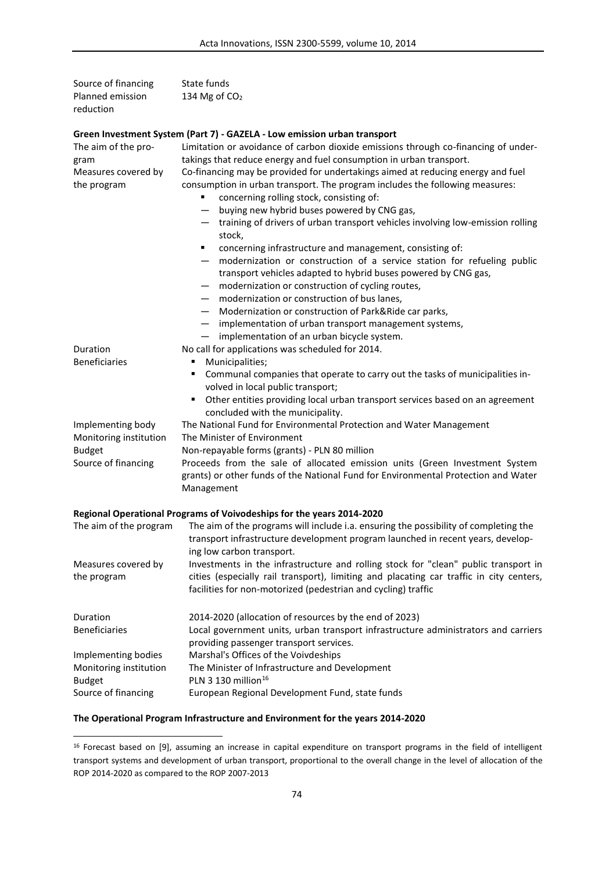| Source of financing                | State funds                                                                                                                                                                                                                                                                         |
|------------------------------------|-------------------------------------------------------------------------------------------------------------------------------------------------------------------------------------------------------------------------------------------------------------------------------------|
| Planned emission<br>reduction      | 134 Mg of CO <sub>2</sub>                                                                                                                                                                                                                                                           |
|                                    | Green Investment System (Part 7) - GAZELA - Low emission urban transport                                                                                                                                                                                                            |
| The aim of the pro-                | Limitation or avoidance of carbon dioxide emissions through co-financing of under-                                                                                                                                                                                                  |
| gram                               | takings that reduce energy and fuel consumption in urban transport.                                                                                                                                                                                                                 |
| Measures covered by<br>the program | Co-financing may be provided for undertakings aimed at reducing energy and fuel<br>consumption in urban transport. The program includes the following measures:<br>concerning rolling stock, consisting of:<br>buying new hybrid buses powered by CNG gas,                          |
|                                    | - training of drivers of urban transport vehicles involving low-emission rolling<br>stock,                                                                                                                                                                                          |
|                                    | concerning infrastructure and management, consisting of:<br>٠<br>modernization or construction of a service station for refueling public<br>transport vehicles adapted to hybrid buses powered by CNG gas,<br>modernization or construction of cycling routes,<br>$\qquad \qquad -$ |
|                                    | - modernization or construction of bus lanes,                                                                                                                                                                                                                                       |
|                                    | - Modernization or construction of Park&Ride car parks,                                                                                                                                                                                                                             |
|                                    | - implementation of urban transport management systems,                                                                                                                                                                                                                             |
|                                    | $-$ implementation of an urban bicycle system.                                                                                                                                                                                                                                      |
| Duration                           | No call for applications was scheduled for 2014.                                                                                                                                                                                                                                    |
| <b>Beneficiaries</b>               | Municipalities;<br>٠                                                                                                                                                                                                                                                                |
|                                    | Communal companies that operate to carry out the tasks of municipalities in-<br>٠<br>volved in local public transport;                                                                                                                                                              |
|                                    | Other entities providing local urban transport services based on an agreement<br>٠<br>concluded with the municipality.                                                                                                                                                              |
| Implementing body                  | The National Fund for Environmental Protection and Water Management                                                                                                                                                                                                                 |
| Monitoring institution             | The Minister of Environment                                                                                                                                                                                                                                                         |
| <b>Budget</b>                      | Non-repayable forms (grants) - PLN 80 million                                                                                                                                                                                                                                       |
| Source of financing                | Proceeds from the sale of allocated emission units (Green Investment System<br>grants) or other funds of the National Fund for Environmental Protection and Water<br>Management                                                                                                     |
|                                    | Regional Operational Programs of Voivodeships for the years 2014-2020                                                                                                                                                                                                               |
| The aim of the program             | The aim of the programs will include i.a. ensuring the possibility of completing the<br>transport infrastructure development program launched in recent years, develop-<br>ing low carbon transport.                                                                                |
| Measures covered by                | Investments in the infrastructure and rolling stock for "clean" public transport in                                                                                                                                                                                                 |
| the program                        | cities (especially rail transport), limiting and placating car traffic in city centers,<br>facilities for non-motorized (pedestrian and cycling) traffic                                                                                                                            |
| Duration                           | 2014-2020 (allocation of resources by the end of 2023)                                                                                                                                                                                                                              |
| <b>Beneficiaries</b>               | Local government units, urban transport infrastructure administrators and carriers                                                                                                                                                                                                  |

|                        | providing passenger transport services.         |  |
|------------------------|-------------------------------------------------|--|
| Implementing bodies    | Marshal's Offices of the Voivdeships            |  |
| Monitoring institution | The Minister of Infrastructure and Development  |  |
| Budget                 | PLN 3 130 million <sup>16</sup>                 |  |
| Source of financing    | European Regional Development Fund, state funds |  |

# **The Operational Program Infrastructure and Environment for the years 2014-2020**

 $\overline{a}$ 

<sup>&</sup>lt;sup>16</sup> Forecast based on [9], assuming an increase in capital expenditure on transport programs in the field of intelligent transport systems and development of urban transport, proportional to the overall change in the level of allocation of the ROP 2014-2020 as compared to the ROP 2007-2013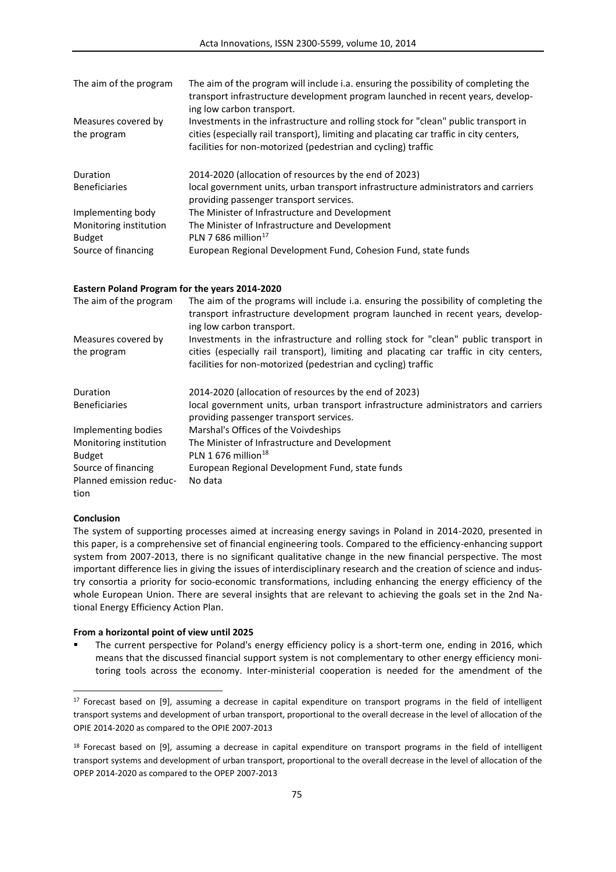| The aim of the program                  | The aim of the program will include i.a. ensuring the possibility of completing the<br>transport infrastructure development program launched in recent years, develop-<br>ing low carbon transport.                                             |
|-----------------------------------------|-------------------------------------------------------------------------------------------------------------------------------------------------------------------------------------------------------------------------------------------------|
| Measures covered by<br>the program      | Investments in the infrastructure and rolling stock for "clean" public transport in<br>cities (especially rail transport), limiting and placating car traffic in city centers,<br>facilities for non-motorized (pedestrian and cycling) traffic |
| Duration                                | 2014-2020 (allocation of resources by the end of 2023)                                                                                                                                                                                          |
| <b>Beneficiaries</b>                    | local government units, urban transport infrastructure administrators and carriers<br>providing passenger transport services.                                                                                                                   |
| Implementing body                       | The Minister of Infrastructure and Development                                                                                                                                                                                                  |
| Monitoring institution<br><b>Budget</b> | The Minister of Infrastructure and Development<br>PLN 7 686 million <sup>17</sup>                                                                                                                                                               |
| Source of financing                     | European Regional Development Fund, Cohesion Fund, state funds                                                                                                                                                                                  |

#### **Eastern Poland Program for the years 2014-2020**

| The aim of the program<br>Measures covered by<br>the program | The aim of the programs will include i.a. ensuring the possibility of completing the<br>transport infrastructure development program launched in recent years, develop-<br>ing low carbon transport.<br>Investments in the infrastructure and rolling stock for "clean" public transport in<br>cities (especially rail transport), limiting and placating car traffic in city centers,<br>facilities for non-motorized (pedestrian and cycling) traffic |  |  |
|--------------------------------------------------------------|---------------------------------------------------------------------------------------------------------------------------------------------------------------------------------------------------------------------------------------------------------------------------------------------------------------------------------------------------------------------------------------------------------------------------------------------------------|--|--|
|                                                              |                                                                                                                                                                                                                                                                                                                                                                                                                                                         |  |  |
| <b>Beneficiaries</b>                                         | local government units, urban transport infrastructure administrators and carriers<br>providing passenger transport services.                                                                                                                                                                                                                                                                                                                           |  |  |
| Implementing bodies                                          | Marshal's Offices of the Voivdeships                                                                                                                                                                                                                                                                                                                                                                                                                    |  |  |
| Monitoring institution                                       | The Minister of Infrastructure and Development                                                                                                                                                                                                                                                                                                                                                                                                          |  |  |
| <b>Budget</b>                                                | PLN 1 676 million <sup>18</sup>                                                                                                                                                                                                                                                                                                                                                                                                                         |  |  |
| Source of financing                                          | European Regional Development Fund, state funds                                                                                                                                                                                                                                                                                                                                                                                                         |  |  |
| Planned emission reduc-<br>tion                              | No data                                                                                                                                                                                                                                                                                                                                                                                                                                                 |  |  |

### **Conclusion**

 $\overline{a}$ 

The system of supporting processes aimed at increasing energy savings in Poland in 2014-2020, presented in this paper, is a comprehensive set of financial engineering tools. Compared to the efficiency-enhancing support system from 2007-2013, there is no significant qualitative change in the new financial perspective. The most important difference lies in giving the issues of interdisciplinary research and the creation of science and industry consortia a priority for socio-economic transformations, including enhancing the energy efficiency of the whole European Union. There are several insights that are relevant to achieving the goals set in the 2nd National Energy Efficiency Action Plan.

#### **From a horizontal point of view until 2025**

 The current perspective for Poland's energy efficiency policy is a short-term one, ending in 2016, which means that the discussed financial support system is not complementary to other energy efficiency monitoring tools across the economy. Inter-ministerial cooperation is needed for the amendment of the

<sup>&</sup>lt;sup>17</sup> Forecast based on [9], assuming a decrease in capital expenditure on transport programs in the field of intelligent transport systems and development of urban transport, proportional to the overall decrease in the level of allocation of the OPIE 2014-2020 as compared to the OPIE 2007-2013

<sup>&</sup>lt;sup>18</sup> Forecast based on [9], assuming a decrease in capital expenditure on transport programs in the field of intelligent transport systems and development of urban transport, proportional to the overall decrease in the level of allocation of the OPEP 2014-2020 as compared to the OPEP 2007-2013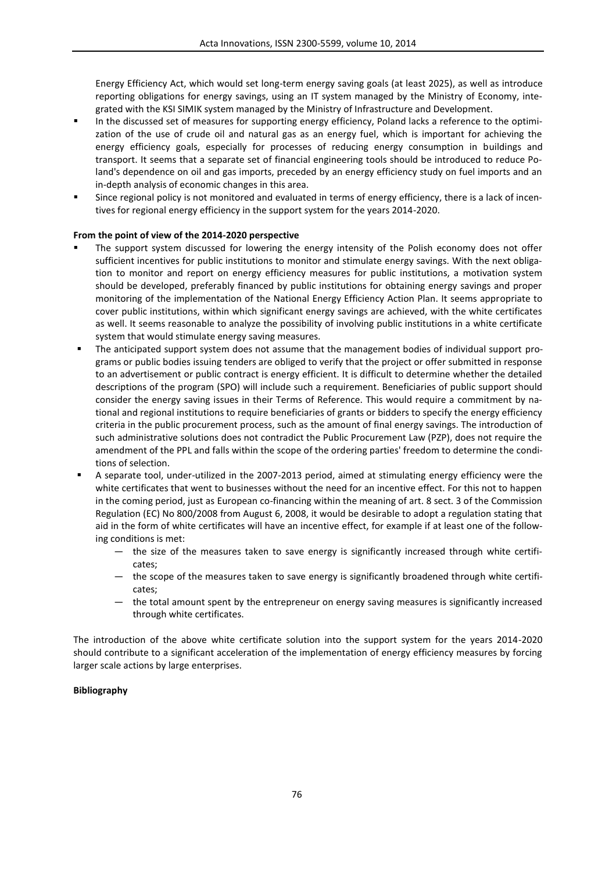Energy Efficiency Act, which would set long-term energy saving goals (at least 2025), as well as introduce reporting obligations for energy savings, using an IT system managed by the Ministry of Economy, integrated with the KSI SIMIK system managed by the Ministry of Infrastructure and Development.

- In the discussed set of measures for supporting energy efficiency, Poland lacks a reference to the optimization of the use of crude oil and natural gas as an energy fuel, which is important for achieving the energy efficiency goals, especially for processes of reducing energy consumption in buildings and transport. It seems that a separate set of financial engineering tools should be introduced to reduce Poland's dependence on oil and gas imports, preceded by an energy efficiency study on fuel imports and an in-depth analysis of economic changes in this area.
- Since regional policy is not monitored and evaluated in terms of energy efficiency, there is a lack of incentives for regional energy efficiency in the support system for the years 2014-2020.

### **From the point of view of the 2014-2020 perspective**

- The support system discussed for lowering the energy intensity of the Polish economy does not offer sufficient incentives for public institutions to monitor and stimulate energy savings. With the next obligation to monitor and report on energy efficiency measures for public institutions, a motivation system should be developed, preferably financed by public institutions for obtaining energy savings and proper monitoring of the implementation of the National Energy Efficiency Action Plan. It seems appropriate to cover public institutions, within which significant energy savings are achieved, with the white certificates as well. It seems reasonable to analyze the possibility of involving public institutions in a white certificate system that would stimulate energy saving measures.
- The anticipated support system does not assume that the management bodies of individual support programs or public bodies issuing tenders are obliged to verify that the project or offer submitted in response to an advertisement or public contract is energy efficient. It is difficult to determine whether the detailed descriptions of the program (SPO) will include such a requirement. Beneficiaries of public support should consider the energy saving issues in their Terms of Reference. This would require a commitment by national and regional institutions to require beneficiaries of grants or bidders to specify the energy efficiency criteria in the public procurement process, such as the amount of final energy savings. The introduction of such administrative solutions does not contradict the Public Procurement Law (PZP), does not require the amendment of the PPL and falls within the scope of the ordering parties' freedom to determine the conditions of selection.
- A separate tool, under-utilized in the 2007-2013 period, aimed at stimulating energy efficiency were the white certificates that went to businesses without the need for an incentive effect. For this not to happen in the coming period, just as European co-financing within the meaning of art. 8 sect. 3 of the Commission Regulation (EC) No 800/2008 from August 6, 2008, it would be desirable to adopt a regulation stating that aid in the form of white certificates will have an incentive effect, for example if at least one of the following conditions is met:
	- the size of the measures taken to save energy is significantly increased through white certificates;
	- the scope of the measures taken to save energy is significantly broadened through white certificates;
	- the total amount spent by the entrepreneur on energy saving measures is significantly increased through white certificates.

The introduction of the above white certificate solution into the support system for the years 2014-2020 should contribute to a significant acceleration of the implementation of energy efficiency measures by forcing larger scale actions by large enterprises.

#### **Bibliography**